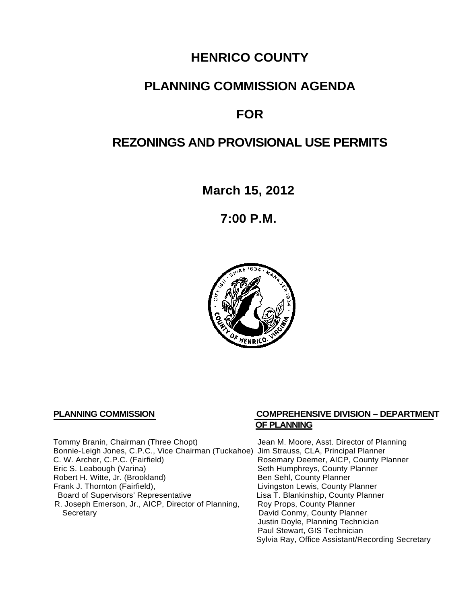# **HENRICO COUNTY**

# **PLANNING COMMISSION AGENDA**

# **FOR**

# **REZONINGS AND PROVISIONAL USE PERMITS**

**March 15, 2012**

**7:00 P.M.**



Tommy Branin, Chairman (Three Chopt) Jean M. Moore, Asst. Director of Planning Bonnie-Leigh Jones, C.P.C., Vice Chairman (Tuckahoe) Jim Strauss, CLA, Principal Planner C. W. Archer, C.P.C. (Fairfield) Rosemary Deemer, AICP, County Planner<br>
Eric S. Leabough (Varina) Seth Humphreys, County Planner Robert H. Witte, Jr. (Brookland)<br>Frank J. Thornton (Fairfield), Board of Supervisors' Representative Lisa T. Blankinship, County<br>R. Joseph Emerson, Jr., AICP, Director of Planning, Roy Props, County Planner R. Joseph Emerson, Jr., AICP, Director of Planning, Secretary

## **PLANNING COMMISSION COMPREHENSIVE DIVISION – DEPARTMENT OF PLANNING**

Seth Humphreys, County Planner<br>Ben Sehl, County Planner Livingston Lewis, County Planner<br>Lisa T. Blankinship, County Planner David Conmy, County Planner Justin Doyle, Planning Technician Paul Stewart, GIS Technician Sylvia Ray, Office Assistant/Recording Secretary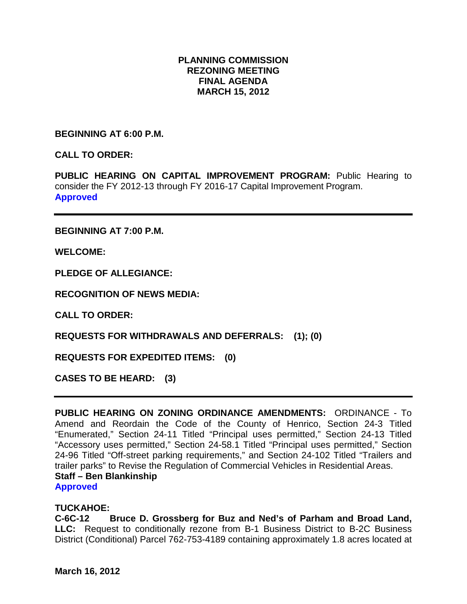# **PLANNING COMMISSION REZONING MEETING FINAL AGENDA MARCH 15, 2012**

**BEGINNING AT 6:00 P.M.**

**CALL TO ORDER:**

PUBLIC HEARING ON CAPITAL IMPROVEMENT PROGRAM: Public Hearing to consider the FY 2012-13 through FY 2016-17 Capital Improvement Program. **Approved**

**BEGINNING AT 7:00 P.M.**

**WELCOME:**

**PLEDGE OF ALLEGIANCE:**

**RECOGNITION OF NEWS MEDIA:**

**CALL TO ORDER:**

**REQUESTS FOR WITHDRAWALS AND DEFERRALS: (1); (0)**

**REQUESTS FOR EXPEDITED ITEMS: (0)**

**CASES TO BE HEARD: (3)**

**PUBLIC HEARING ON ZONING ORDINANCE AMENDMENTS:** ORDINANCE - To Amend and Reordain the Code of the County of Henrico, Section 24-3 Titled "Enumerated," Section 24-11 Titled "Principal uses permitted," Section 24-13 Titled "Accessory uses permitted," Section 24-58.1 Titled "Principal uses permitted," Section 24-96 Titled "Off-street parking requirements," and Section 24-102 Titled "Trailers and trailer parks" to Revise the Regulation of Commercial Vehicles in Residential Areas. **Staff – Ben Blankinship Approved**

## **TUCKAHOE:**

**C-6C-12 Bruce D. Grossberg for Buz and Ned's of Parham and Broad Land, LLC:** Request to conditionally rezone from B-1 Business District to B-2C Business District (Conditional) Parcel 762-753-4189 containing approximately 1.8 acres located at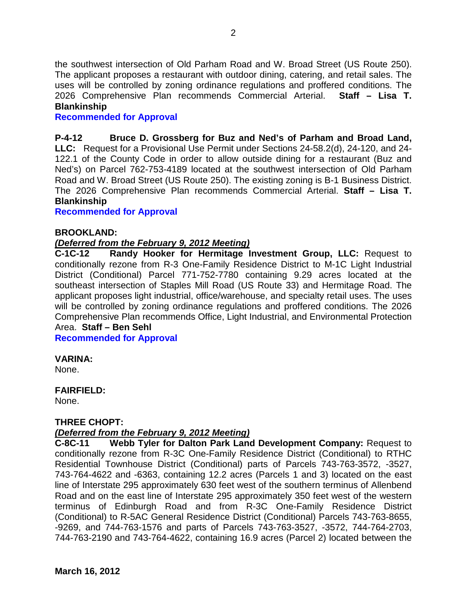the southwest intersection of Old Parham Road and W. Broad Street (US Route 250). The applicant proposes a restaurant with outdoor dining, catering, and retail sales. The uses will be controlled by zoning ordinance regulations and proffered conditions. The 2026 Comprehensive Plan recommends Commercial Arterial. **Staff – Lisa T. Blankinship**

# **Recommended for Approval**

**P-4-12 Bruce D. Grossberg for Buz and Ned's of Parham and Broad Land, LLC:** Request for a Provisional Use Permit under Sections 24-58.2(d), 24-120, and 24- 122.1 of the County Code in order to allow outside dining for a restaurant (Buz and Ned's) on Parcel 762-753-4189 located at the southwest intersection of Old Parham Road and W. Broad Street (US Route 250). The existing zoning is B-1 Business District. The 2026 Comprehensive Plan recommends Commercial Arterial. **Staff – Lisa T. Blankinship**

## **Recommended for Approval**

## **BROOKLAND:**

## *(Deferred from the February 9, 2012 Meeting)*

**C-1C-12 Randy Hooker for Hermitage Investment Group, LLC:** Request to conditionally rezone from R-3 One-Family Residence District to M-1C Light Industrial District (Conditional) Parcel 771-752-7780 containing 9.29 acres located at the southeast intersection of Staples Mill Road (US Route 33) and Hermitage Road. The applicant proposes light industrial, office/warehouse, and specialty retail uses. The uses will be controlled by zoning ordinance regulations and proffered conditions. The 2026 Comprehensive Plan recommends Office, Light Industrial, and Environmental Protection Area. **Staff – Ben Sehl** 

**Recommended for Approval**

## **VARINA:**

None.

**FAIRFIELD:**

None.

## **THREE CHOPT:**

# *(Deferred from the February 9, 2012 Meeting)*

**C-8C-11 Webb Tyler for Dalton Park Land Development Company:** Request to conditionally rezone from R-3C One-Family Residence District (Conditional) to RTHC Residential Townhouse District (Conditional) parts of Parcels 743-763-3572, -3527, 743-764-4622 and -6363, containing 12.2 acres (Parcels 1 and 3) located on the east line of Interstate 295 approximately 630 feet west of the southern terminus of Allenbend Road and on the east line of Interstate 295 approximately 350 feet west of the western terminus of Edinburgh Road and from R-3C One-Family Residence District (Conditional) to R-5AC General Residence District (Conditional) Parcels 743-763-8655, -9269, and 744-763-1576 and parts of Parcels 743-763-3527, -3572, 744-764-2703, 744-763-2190 and 743-764-4622, containing 16.9 acres (Parcel 2) located between the